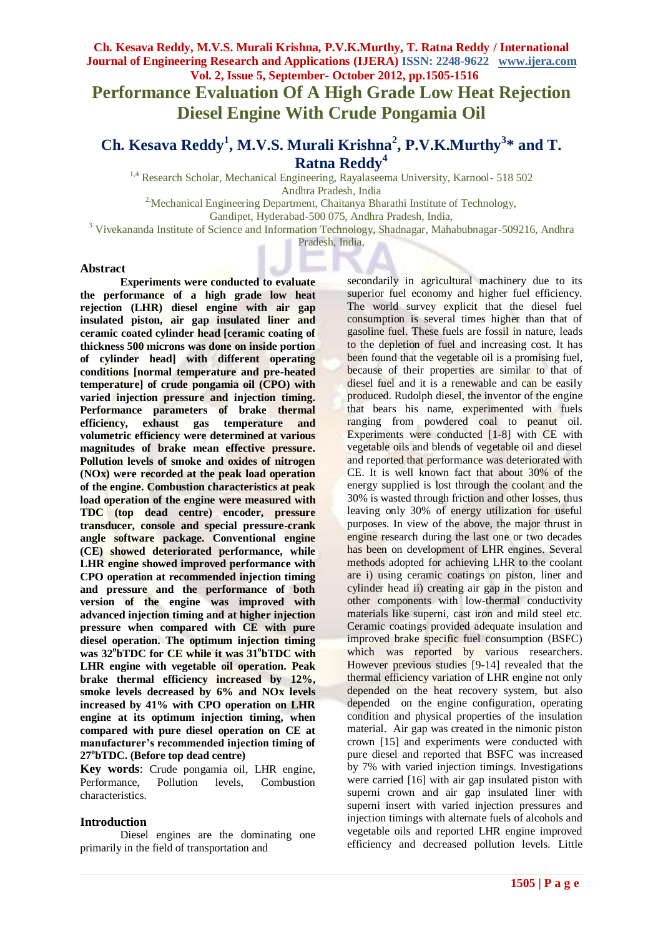**Performance Evaluation Of A High Grade Low Heat Rejection Diesel Engine With Crude Pongamia Oil**

# **Ch. Kesava Reddy<sup>1</sup> , M.V.S. Murali Krishna<sup>2</sup> , P.V.K.Murthy<sup>3</sup> \* and T. Ratna Reddy<sup>4</sup>**

<sup>1,4</sup> Research Scholar, Mechanical Engineering, Rayalaseema University, Karnool- 518 502 Andhra Pradesh, India

<sup>2</sup>: Mechanical Engineering Department, Chaitanya Bharathi Institute of Technology,

Gandipet, Hyderabad-500 075, Andhra Pradesh, India,

<sup>3</sup> Vivekananda Institute of Science and Information Technology, Shadnagar, Mahabubnagar-509216, Andhra

Pradesh, India,

#### **Abstract**

**Experiments were conducted to evaluate the performance of a high grade low heat rejection (LHR) diesel engine with air gap insulated piston, air gap insulated liner and ceramic coated cylinder head [ceramic coating of thickness 500 microns was done on inside portion of cylinder head] with different operating conditions [normal temperature and pre-heated temperature] of crude pongamia oil (CPO) with varied injection pressure and injection timing. Performance parameters of brake thermal efficiency, exhaust gas temperature and volumetric efficiency were determined at various magnitudes of brake mean effective pressure. Pollution levels of smoke and oxides of nitrogen (NOx) were recorded at the peak load operation of the engine. Combustion characteristics at peak load operation of the engine were measured with TDC (top dead centre) encoder, pressure transducer, console and special pressure-crank angle software package. Conventional engine (CE) showed deteriorated performance, while LHR engine showed improved performance with CPO operation at recommended injection timing and pressure and the performance of both version of the engine was improved with advanced injection timing and at higher injection pressure when compared with CE with pure diesel operation. The optimum injection timing**  was  $32^{\circ}$ **bTDC** for CE while it was  $31^{\circ}$ **bTDC** with **LHR engine with vegetable oil operation. Peak brake thermal efficiency increased by 12%, smoke levels decreased by 6% and NOx levels increased by 41% with CPO operation on LHR engine at its optimum injection timing, when compared with pure diesel operation on CE at manufacturer's recommended injection timing of 27<sup>o</sup> bTDC. (Before top dead centre)** 

**Key words**: Crude pongamia oil, LHR engine, Performance, Pollution levels, Combustion characteristics.

# **Introduction**

Diesel engines are the dominating one primarily in the field of transportation and

secondarily in agricultural machinery due to its superior fuel economy and higher fuel efficiency. The world survey explicit that the diesel fuel consumption is several times higher than that of gasoline fuel. These fuels are fossil in nature, leads to the depletion of fuel and increasing cost. It has been found that the vegetable oil is a promising fuel, because of their properties are similar to that of diesel fuel and it is a renewable and can be easily produced. Rudolph diesel, the inventor of the engine that bears his name, experimented with fuels ranging from powdered coal to peanut oil. Experiments were conducted [1-8] with CE with vegetable oils and blends of vegetable oil and diesel and reported that performance was deteriorated with CE. It is well known fact that about 30% of the energy supplied is lost through the coolant and the 30% is wasted through friction and other losses, thus leaving only 30% of energy utilization for useful purposes. In view of the above, the major thrust in engine research during the last one or two decades has been on development of LHR engines. Several methods adopted for achieving LHR to the coolant are i) using ceramic coatings on piston, liner and cylinder head ii) creating air gap in the piston and other components with low-thermal conductivity materials like superni, cast iron and mild steel etc. Ceramic coatings provided adequate insulation and improved brake specific fuel consumption (BSFC) which was reported by various researchers. However previous studies [9-14] revealed that the thermal efficiency variation of LHR engine not only depended on the heat recovery system, but also depended on the engine configuration, operating condition and physical properties of the insulation material. Air gap was created in the nimonic piston crown [15] and experiments were conducted with pure diesel and reported that BSFC was increased by 7% with varied injection timings. Investigations were carried [16] with air gap insulated piston with superni crown and air gap insulated liner with superni insert with varied injection pressures and injection timings with alternate fuels of alcohols and vegetable oils and reported LHR engine improved efficiency and decreased pollution levels. Little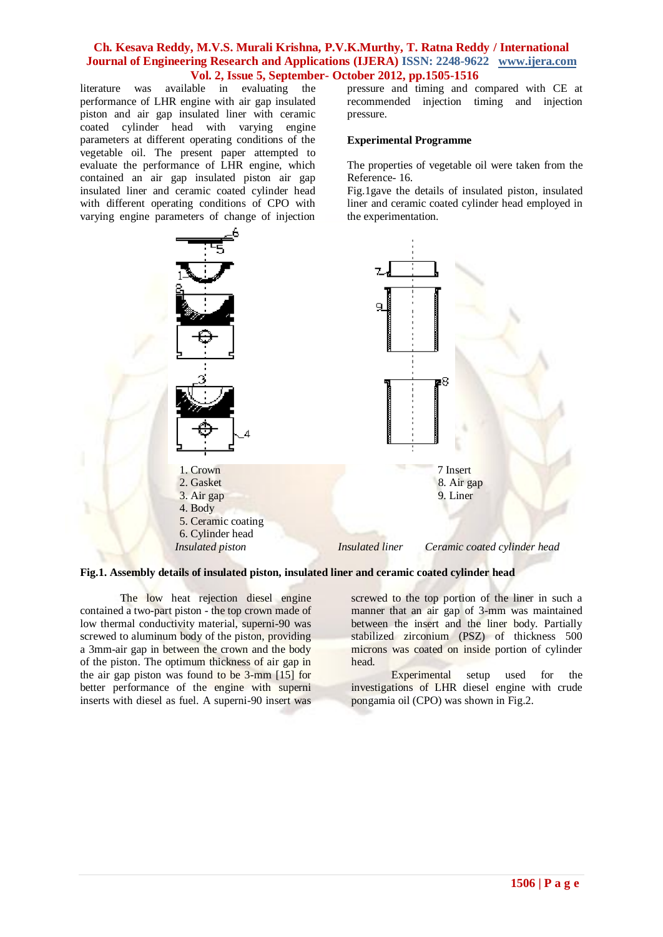literature was available in evaluating the performance of LHR engine with air gap insulated piston and air gap insulated liner with ceramic coated cylinder head with varying engine parameters at different operating conditions of the vegetable oil. The present paper attempted to evaluate the performance of LHR engine, which contained an air gap insulated piston air gap insulated liner and ceramic coated cylinder head with different operating conditions of CPO with varying engine parameters of change of injection

pressure and timing and compared with CE at recommended injection timing and injection pressure.

#### **Experimental Programme**

The properties of vegetable oil were taken from the Reference- 16.

Fig.1gave the details of insulated piston, insulated liner and ceramic coated cylinder head employed in the experimentation.



**Fig.1. Assembly details of insulated piston, insulated liner and ceramic coated cylinder head** 

The low heat rejection diesel engine contained a two-part piston - the top crown made of low thermal conductivity material, superni-90 was screwed to aluminum body of the piston, providing a 3mm-air gap in between the crown and the body of the piston. The optimum thickness of air gap in the air gap piston was found to be 3-mm [15] for better performance of the engine with superni inserts with diesel as fuel. A superni-90 insert was screwed to the top portion of the liner in such a manner that an air gap of 3-mm was maintained between the insert and the liner body. Partially stabilized zirconium (PSZ) of thickness 500 microns was coated on inside portion of cylinder head.

Experimental setup used for the investigations of LHR diesel engine with crude pongamia oil (CPO) was shown in Fig.2.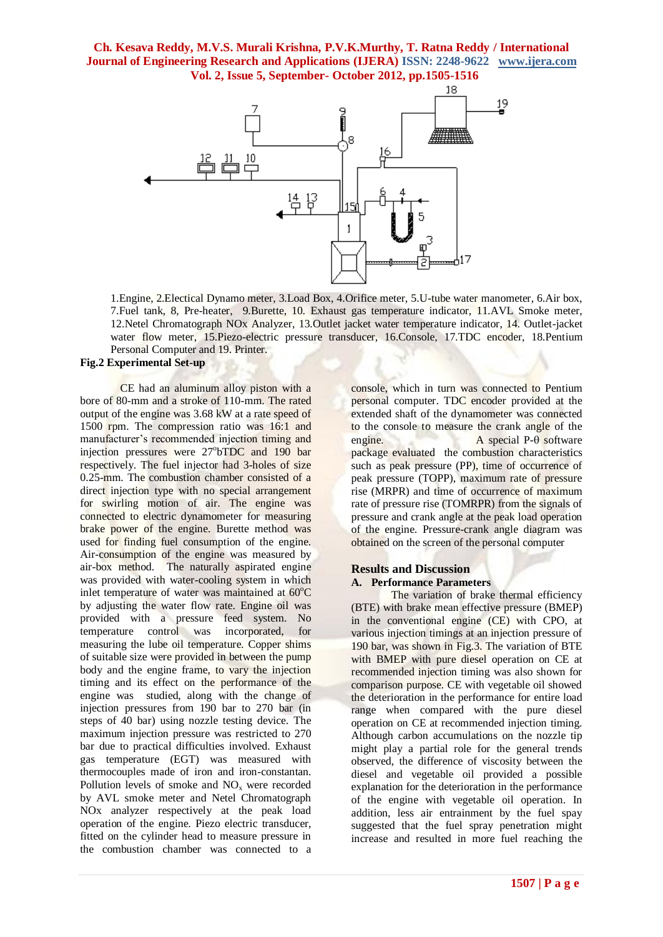

1.Engine, 2.Electical Dynamo meter, 3.Load Box, 4.Orifice meter, 5.U-tube water manometer, 6.Air box, 7.Fuel tank, 8, Pre-heater, 9.Burette, 10. Exhaust gas temperature indicator, 11.AVL Smoke meter, 12.Netel Chromatograph NOx Analyzer, 13.Outlet jacket water temperature indicator, 14. Outlet-jacket water flow meter, 15.Piezo-electric pressure transducer, 16.Console, 17.TDC encoder, 18.Pentium Personal Computer and 19. Printer.

# **Fig.2 Experimental Set-up**

CE had an aluminum alloy piston with a bore of 80-mm and a stroke of 110-mm. The rated output of the engine was 3.68 kW at a rate speed of 1500 rpm. The compression ratio was 16:1 and manufacturer's recommended injection timing and injection pressures were 27°bTDC and 190 bar respectively. The fuel injector had 3-holes of size 0.25-mm. The combustion chamber consisted of a direct injection type with no special arrangement for swirling motion of air. The engine was connected to electric dynamometer for measuring brake power of the engine. Burette method was used for finding fuel consumption of the engine. Air-consumption of the engine was measured by air-box method. The naturally aspirated engine was provided with water-cooling system in which inlet temperature of water was maintained at  $60^{\circ}$ C by adjusting the water flow rate. Engine oil was provided with a pressure feed system. No temperature control was incorporated, for measuring the lube oil temperature. Copper shims of suitable size were provided in between the pump body and the engine frame, to vary the injection timing and its effect on the performance of the engine was studied, along with the change of injection pressures from 190 bar to 270 bar (in steps of 40 bar) using nozzle testing device. The maximum injection pressure was restricted to 270 bar due to practical difficulties involved. Exhaust gas temperature (EGT) was measured with thermocouples made of iron and iron-constantan. Pollution levels of smoke and  $NO<sub>x</sub>$  were recorded by AVL smoke meter and Netel Chromatograph NOx analyzer respectively at the peak load operation of the engine. Piezo electric transducer, fitted on the cylinder head to measure pressure in the combustion chamber was connected to a

console, which in turn was connected to Pentium personal computer. TDC encoder provided at the extended shaft of the dynamometer was connected to the console to measure the crank angle of the engine. A special  $P-\theta$  software package evaluated the combustion characteristics such as peak pressure (PP), time of occurrence of peak pressure (TOPP), maximum rate of pressure rise (MRPR) and time of occurrence of maximum rate of pressure rise (TOMRPR) from the signals of pressure and crank angle at the peak load operation of the engine. Pressure-crank angle diagram was obtained on the screen of the personal computer

### **Results and Discussion A. Performance Parameters**

The variation of brake thermal efficiency (BTE) with brake mean effective pressure (BMEP) in the conventional engine (CE) with CPO, at various injection timings at an injection pressure of 190 bar, was shown in Fig.3. The variation of BTE with BMEP with pure diesel operation on CE at recommended injection timing was also shown for comparison purpose. CE with vegetable oil showed the deterioration in the performance for entire load range when compared with the pure diesel operation on CE at recommended injection timing. Although carbon accumulations on the nozzle tip might play a partial role for the general trends observed, the difference of viscosity between the diesel and vegetable oil provided a possible explanation for the deterioration in the performance of the engine with vegetable oil operation. In addition, less air entrainment by the fuel spay suggested that the fuel spray penetration might increase and resulted in more fuel reaching the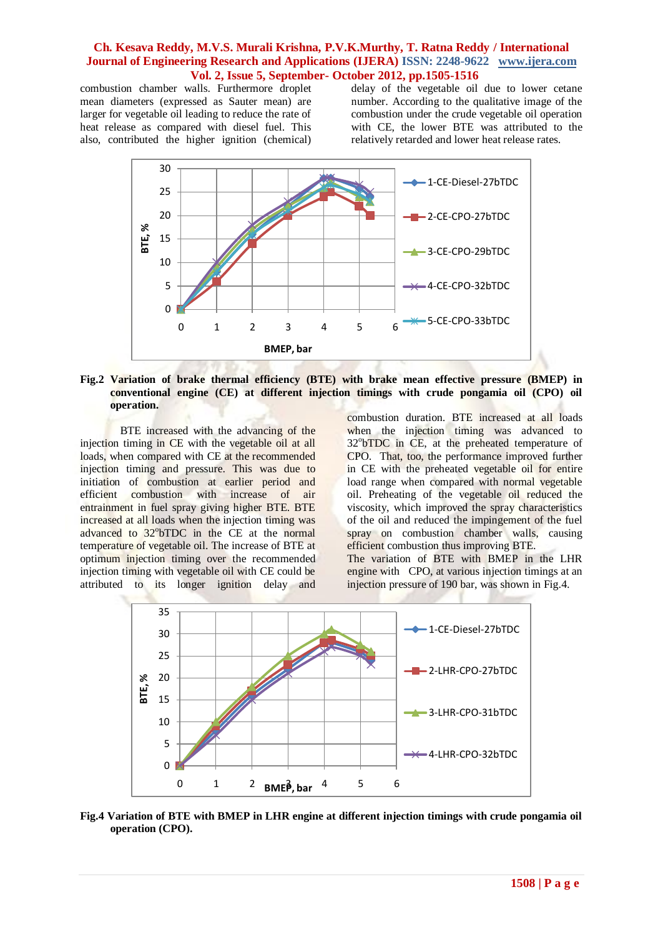combustion chamber walls. Furthermore droplet mean diameters (expressed as Sauter mean) are larger for vegetable oil leading to reduce the rate of heat release as compared with diesel fuel. This also, contributed the higher ignition (chemical) delay of the vegetable oil due to lower cetane number. According to the qualitative image of the combustion under the crude vegetable oil operation with CE, the lower BTE was attributed to the relatively retarded and lower heat release rates.



#### **Fig.2 Variation of brake thermal efficiency (BTE) with brake mean effective pressure (BMEP) in conventional engine (CE) at different injection timings with crude pongamia oil (CPO) oil operation.**

BTE increased with the advancing of the injection timing in CE with the vegetable oil at all loads, when compared with CE at the recommended injection timing and pressure. This was due to initiation of combustion at earlier period and efficient combustion with increase of air entrainment in fuel spray giving higher BTE. BTE increased at all loads when the injection timing was advanced to 32°bTDC in the CE at the normal temperature of vegetable oil. The increase of BTE at optimum injection timing over the recommended injection timing with vegetable oil with CE could be attributed to its longer ignition delay and

combustion duration. BTE increased at all loads when the injection timing was advanced to 32°bTDC in CE, at the preheated temperature of CPO. That, too, the performance improved further in CE with the preheated vegetable oil for entire load range when compared with normal vegetable oil. Preheating of the vegetable oil reduced the viscosity, which improved the spray characteristics of the oil and reduced the impingement of the fuel spray on combustion chamber walls, causing efficient combustion thus improving BTE.

The variation of BTE with BMEP in the LHR engine with CPO, at various injection timings at an injection pressure of 190 bar, was shown in Fig.4.



**Fig.4 Variation of BTE with BMEP in LHR engine at different injection timings with crude pongamia oil operation (CPO).**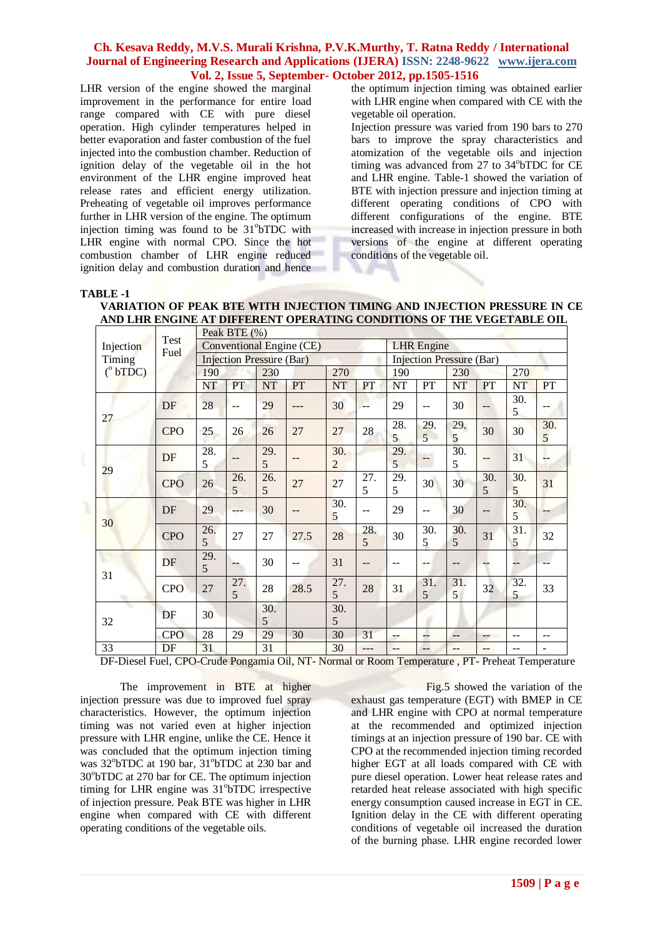LHR version of the engine showed the marginal improvement in the performance for entire load range compared with CE with pure diesel operation. High cylinder temperatures helped in better evaporation and faster combustion of the fuel injected into the combustion chamber. Reduction of ignition delay of the vegetable oil in the hot environment of the LHR engine improved heat release rates and efficient energy utilization. Preheating of vegetable oil improves performance further in LHR version of the engine. The optimum injection timing was found to be 31°bTDC with LHR engine with normal CPO. Since the hot combustion chamber of LHR engine reduced ignition delay and combustion duration and hence the optimum injection timing was obtained earlier with LHR engine when compared with CE with the vegetable oil operation.

Injection pressure was varied from 190 bars to 270 bars to improve the spray characteristics and atomization of the vegetable oils and injection timing was advanced from 27 to 34°bTDC for CE and LHR engine. Table-1 showed the variation of BTE with injection pressure and injection timing at different operating conditions of CPO with different configurations of the engine. BTE increased with increase in injection pressure in both versions of the engine at different operating conditions of the vegetable oil.

#### **TABLE -1**

| VARIATION OF PEAK BTE WITH INJECTION TIMING AND INJECTION PRESSURE IN CE |
|--------------------------------------------------------------------------|
| AND LHR ENGINE AT DIFFERENT OPERATING CONDITIONS OF THE VEGETABLE OIL    |

|                                         |              |          | Peak BTE (%) |                                 |                          |                       |          |                                 |                |           |          |           |                          |  |  |
|-----------------------------------------|--------------|----------|--------------|---------------------------------|--------------------------|-----------------------|----------|---------------------------------|----------------|-----------|----------|-----------|--------------------------|--|--|
| Injection<br>Timing<br>$(^{\circ}bTDC)$ | Test<br>Fuel |          |              |                                 | Conventional Engine (CE) |                       |          | <b>LHR</b> Engine               |                |           |          |           |                          |  |  |
|                                         |              |          |              | <b>Injection Pressure (Bar)</b> |                          |                       |          | <b>Injection Pressure (Bar)</b> |                |           |          |           |                          |  |  |
|                                         |              | 190      |              | 230                             |                          | 270                   |          | 190                             |                | 230       |          | 270       |                          |  |  |
|                                         |              | NT       | PT           | <b>NT</b>                       | PT                       | NT                    | PT       | NT                              | PT             | <b>NT</b> | PT       | <b>NT</b> | PT                       |  |  |
| 27                                      | DF           | 28       | --           | 29                              |                          | 30                    | --       | 29                              | $-$            | 30        | $-$      | 30.<br>5  |                          |  |  |
|                                         | <b>CPO</b>   | 25       | 26           | 26                              | 27                       | 27                    | 28       | 28.<br>5                        | 29.<br>5       | 29.<br>5  | 30       | 30        | 30.<br>5                 |  |  |
| 29                                      | DF           | 28.<br>5 | --           | 29.<br>5                        | $- -$                    | 30.<br>$\overline{2}$ |          | 29.<br>5                        | --             | 30.<br>5  | $-$      | 31        | $- -$                    |  |  |
|                                         | <b>CPO</b>   | 26       | 26.<br>5     | 26.<br>5                        | 27                       | 27                    | 27.<br>5 | 29.<br>5                        | 30             | 30        | 30.<br>5 | 30.<br>5  | 31                       |  |  |
|                                         | DF           | 29       | ---          | 30                              |                          | 30.<br>5              | --       | 29                              | --             | 30        | --       | 30.<br>5  |                          |  |  |
| 30                                      | <b>CPO</b>   | 26.<br>5 | 27           | 27                              | 27.5                     | 28                    | 28.<br>5 | 30                              | 30.<br>5       | 30.<br>5  | 31       | 31.<br>5  | 32                       |  |  |
|                                         | DF           | 29.<br>5 | --           | 30                              |                          | 31                    | --       | $-$                             | $- -$          |           | --       | --        |                          |  |  |
| 31                                      | <b>CPO</b>   | 27       | 27.<br>5     | 28                              | 28.5                     | 27.<br>5              | 28       | 31                              | 31.<br>5       | 31.<br>5  | 32       | 32.<br>5  | 33                       |  |  |
| ÷<br>32                                 | DF           | 30       |              | 30.<br>5                        |                          | 30.<br>5              |          |                                 |                |           |          |           |                          |  |  |
|                                         | <b>CPO</b>   | 28       | 29           | 29                              | 30                       | 30                    | 31       | --                              | $\overline{a}$ | $-$       | --       | --        | $- -$                    |  |  |
| 33                                      | DF           | 31       |              | 31                              |                          | 30                    | ---      | --                              | --             | $-$       | $-$      | --        | $\overline{\phantom{a}}$ |  |  |

DF-Diesel Fuel, CPO-Crude Pongamia Oil, NT- Normal or Room Temperature , PT- Preheat Temperature

The improvement in BTE at higher injection pressure was due to improved fuel spray characteristics. However, the optimum injection timing was not varied even at higher injection pressure with LHR engine, unlike the CE. Hence it was concluded that the optimum injection timing was 32°bTDC at 190 bar, 31°bTDC at 230 bar and 30°bTDC at 270 bar for CE. The optimum injection timing for LHR engine was 31°bTDC irrespective of injection pressure. Peak BTE was higher in LHR engine when compared with CE with different operating conditions of the vegetable oils.

Fig.5 showed the variation of the exhaust gas temperature (EGT) with BMEP in CE and LHR engine with CPO at normal temperature at the recommended and optimized injection timings at an injection pressure of 190 bar. CE with CPO at the recommended injection timing recorded higher EGT at all loads compared with CE with pure diesel operation. Lower heat release rates and retarded heat release associated with high specific energy consumption caused increase in EGT in CE. Ignition delay in the CE with different operating conditions of vegetable oil increased the duration of the burning phase. LHR engine recorded lower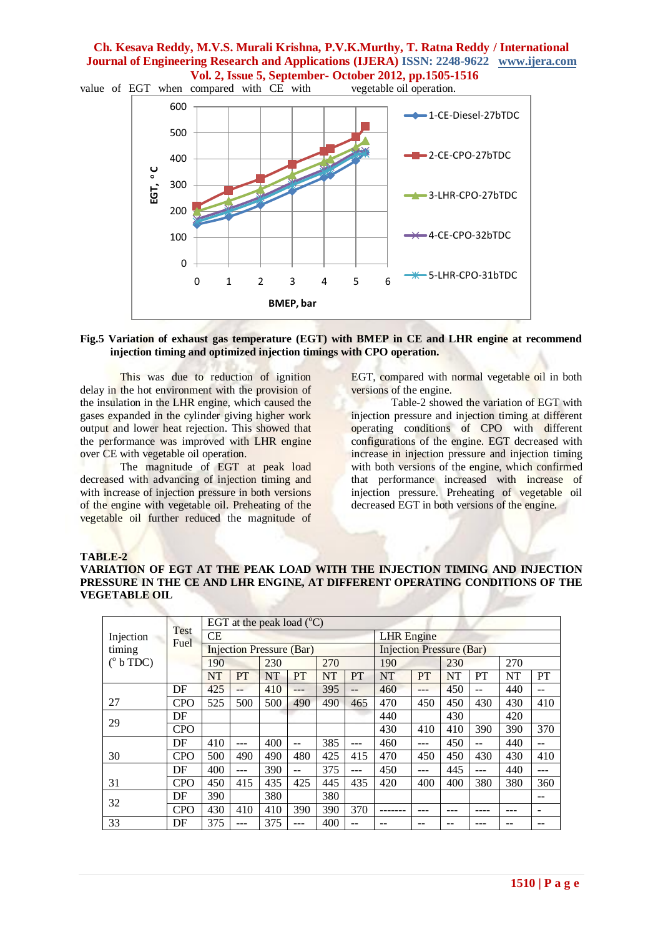value of EGT when compared with CE with vegetable oil operation.



#### **Fig.5 Variation of exhaust gas temperature (EGT) with BMEP in CE and LHR engine at recommend injection timing and optimized injection timings with CPO operation.**

This was due to reduction of ignition delay in the hot environment with the provision of the insulation in the LHR engine, which caused the gases expanded in the cylinder giving higher work output and lower heat rejection. This showed that the performance was improved with LHR engine over CE with vegetable oil operation.

The magnitude of EGT at peak load decreased with advancing of injection timing and with increase of injection pressure in both versions of the engine with vegetable oil. Preheating of the vegetable oil further reduced the magnitude of EGT, compared with normal vegetable oil in both versions of the engine.

Table-2 showed the variation of EGT with injection pressure and injection timing at different operating conditions of CPO with different configurations of the engine. EGT decreased with increase in injection pressure and injection timing with both versions of the engine, which confirmed that performance increased with increase of injection pressure. Preheating of vegetable oil decreased EGT in both versions of the engine.

#### **TABLE-2**

**VARIATION OF EGT AT THE PEAK LOAD WITH THE INJECTION TIMING AND INJECTION PRESSURE IN THE CE AND LHR ENGINE, AT DIFFERENT OPERATING CONDITIONS OF THE VEGETABLE OIL**

|                   | <b>Test</b> |           |            | EGT at the peak load $(^{\circ}C)$ |           |           |     |                                 |     |           |     |     |     |  |
|-------------------|-------------|-----------|------------|------------------------------------|-----------|-----------|-----|---------------------------------|-----|-----------|-----|-----|-----|--|
| Injection         |             | <b>CE</b> |            |                                    |           |           |     | <b>LHR</b> Engine               |     |           |     |     |     |  |
| timing            | Fuel        |           |            | <b>Injection Pressure (Bar)</b>    |           |           |     | <b>Injection Pressure (Bar)</b> |     |           |     |     |     |  |
| $(^{\circ}b$ TDC) |             | 190       | 270<br>230 |                                    |           |           | 190 |                                 | 230 |           | 270 |     |     |  |
|                   |             | <b>NT</b> | <b>PT</b>  | <b>NT</b>                          | <b>PT</b> | <b>NT</b> | PT  | <b>NT</b>                       | PT  | <b>NT</b> | PT  | NT  | PT  |  |
|                   | DF          | 425       | $-$        | 410                                | ---       | 395       | $-$ | 460                             | --- | 450       | --  | 440 |     |  |
| 27                | CPO         | 525       | 500        | 500                                | 490       | 490       | 465 | 470                             | 450 | 450       | 430 | 430 | 410 |  |
|                   | DF          |           |            |                                    |           |           |     | 440                             |     | 430       |     | 420 |     |  |
| 29                | <b>CPO</b>  |           |            |                                    |           |           |     | 430                             | 410 | 410       | 390 | 390 | 370 |  |
|                   | DF          | 410       |            | 400                                | --        | 385       | --- | 460                             |     | 450       | --  | 440 |     |  |
| 30                | CPO         | 500       | 490        | 490                                | 480       | 425       | 415 | 470                             | 450 | 450       | 430 | 430 | 410 |  |
|                   | DF          | 400       |            | 390                                | $- -$     | 375       | --- | 450                             | --- | 445       | --- | 440 | --- |  |
| 31                | <b>CPO</b>  | 450       | 415        | 435                                | 425       | 445       | 435 | 420                             | 400 | 400       | 380 | 380 | 360 |  |
| 32                | DF          | 390       |            | 380                                |           | 380       |     |                                 |     |           |     |     | $-$ |  |
|                   | <b>CPO</b>  | 430       | 410        | 410                                | 390       | 390       | 370 |                                 |     |           |     |     |     |  |
| 33                | DF          | 375       |            | 375                                | ---       | 400       | --  |                                 |     |           |     |     |     |  |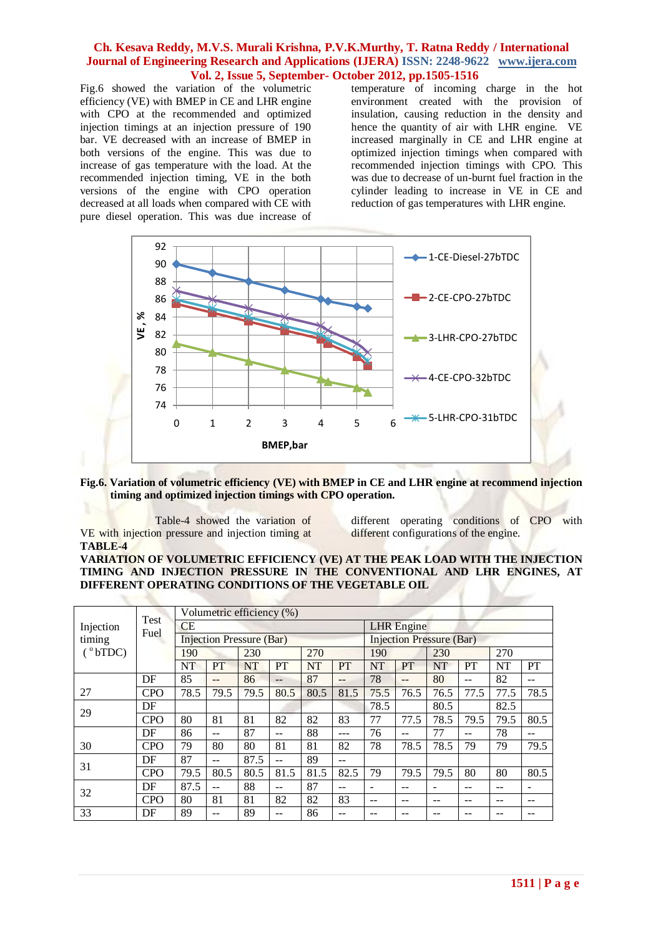Fig.6 showed the variation of the volumetric efficiency (VE) with BMEP in CE and LHR engine with CPO at the recommended and optimized injection timings at an injection pressure of 190 bar. VE decreased with an increase of BMEP in both versions of the engine. This was due to increase of gas temperature with the load. At the recommended injection timing, VE in the both versions of the engine with CPO operation decreased at all loads when compared with CE with pure diesel operation. This was due increase of

temperature of incoming charge in the hot environment created with the provision of insulation, causing reduction in the density and hence the quantity of air with LHR engine. VE increased marginally in CE and LHR engine at optimized injection timings when compared with recommended injection timings with CPO. This was due to decrease of un-burnt fuel fraction in the cylinder leading to increase in VE in CE and reduction of gas temperatures with LHR engine.



**Fig.6. Variation of volumetric efficiency (VE) with BMEP in CE and LHR engine at recommend injection timing and optimized injection timings with CPO operation.**

Table-4 showed the variation of VE with injection pressure and injection timing at **TABLE-4**

different operating conditions of CPO with different configurations of the engine.

# **VARIATION OF VOLUMETRIC EFFICIENCY (VE) AT THE PEAK LOAD WITH THE INJECTION TIMING AND INJECTION PRESSURE IN THE CONVENTIONAL AND LHR ENGINES, AT DIFFERENT OPERATING CONDITIONS OF THE VEGETABLE OIL**

|                  |             | Volumetric efficiency (%) |                                 |           |           |           |                   |           |                                 |           |       |      |                          |  |  |  |
|------------------|-------------|---------------------------|---------------------------------|-----------|-----------|-----------|-------------------|-----------|---------------------------------|-----------|-------|------|--------------------------|--|--|--|
| Injection        | <b>Test</b> | <b>CE</b>                 |                                 |           |           |           | <b>LHR</b> Engine |           |                                 |           |       |      |                          |  |  |  |
| timing           | Fuel        |                           | <b>Injection Pressure (Bar)</b> |           |           |           |                   |           | <b>Injection Pressure (Bar)</b> |           |       |      |                          |  |  |  |
| $(^{\circ}bTDC)$ |             | 190                       |                                 | 230       |           | 270       |                   | 190       |                                 | 230       |       | 270  |                          |  |  |  |
|                  |             | <b>NT</b>                 | PT                              | <b>NT</b> | <b>PT</b> | <b>NT</b> | <b>PT</b>         | <b>NT</b> | <b>PT</b>                       | <b>NT</b> | PT    | NT   | PT                       |  |  |  |
|                  | DF          | 85                        | $-$                             | 86        | $- -$     | 87        | $-$               | 78        | $-$                             | 80        | $- -$ | 82   | --                       |  |  |  |
| 27               | <b>CPO</b>  | 78.5                      | 79.5                            | 79.5      | 80.5      | 80.5      | 81.5              | 75.5      | 76.5                            | 76.5      | 77.5  | 77.5 | 78.5                     |  |  |  |
| 29               | DF          |                           |                                 |           |           |           |                   | 78.5      |                                 | 80.5      |       | 82.5 |                          |  |  |  |
|                  | <b>CPO</b>  | 80                        | 81                              | 81        | 82        | 82        | 83                | 77        | 77.5                            | 78.5      | 79.5  | 79.5 | 80.5                     |  |  |  |
|                  | DF          | 86                        | --                              | 87        |           | 88        |                   | 76        | --                              | 77        | --    | 78   |                          |  |  |  |
| 30               | <b>CPO</b>  | 79                        | 80                              | 80        | 81        | 81        | 82                | 78        | 78.5                            | 78.5      | 79    | 79   | 79.5                     |  |  |  |
| 31               | DF          | 87                        | $- -$                           | 87.5      | $- -$     | 89        | --                |           |                                 |           |       |      |                          |  |  |  |
|                  | <b>CPO</b>  | 79.5                      | 80.5                            | 80.5      | 81.5      | 81.5      | 82.5              | 79        | 79.5                            | 79.5      | 80    | 80   | 80.5                     |  |  |  |
| 32               | DF          | 87.5                      | --                              | 88        | $- -$     | 87        | --                |           | --                              |           | --    | --   | $\overline{\phantom{a}}$ |  |  |  |
|                  | <b>CPO</b>  | 80                        | 81                              | 81        | 82        | 82        | 83                | --        |                                 |           |       |      |                          |  |  |  |
| 33               | DF          | 89                        | --                              | 89        |           | 86        |                   |           |                                 |           |       |      |                          |  |  |  |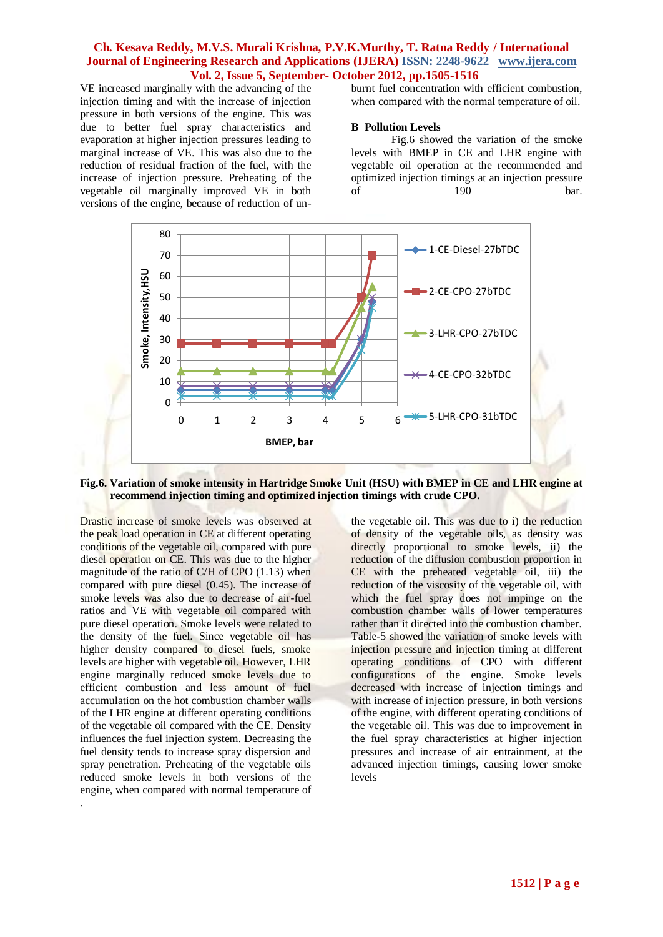VE increased marginally with the advancing of the injection timing and with the increase of injection pressure in both versions of the engine. This was due to better fuel spray characteristics and evaporation at higher injection pressures leading to marginal increase of VE. This was also due to the reduction of residual fraction of the fuel, with the increase of injection pressure. Preheating of the vegetable oil marginally improved VE in both versions of the engine, because of reduction of unburnt fuel concentration with efficient combustion, when compared with the normal temperature of oil.

#### **B Pollution Levels**

Fig.6 showed the variation of the smoke levels with BMEP in CE and LHR engine with vegetable oil operation at the recommended and optimized injection timings at an injection pressure of 190 bar.



**Fig.6. Variation of smoke intensity in Hartridge Smoke Unit (HSU) with BMEP in CE and LHR engine at recommend injection timing and optimized injection timings with crude CPO.**

Drastic increase of smoke levels was observed at the peak load operation in CE at different operating conditions of the vegetable oil, compared with pure diesel operation on CE. This was due to the higher magnitude of the ratio of C/H of CPO (1.13) when compared with pure diesel (0.45). The increase of smoke levels was also due to decrease of air-fuel ratios and VE with vegetable oil compared with pure diesel operation. Smoke levels were related to the density of the fuel. Since vegetable oil has higher density compared to diesel fuels, smoke levels are higher with vegetable oil. However, LHR engine marginally reduced smoke levels due to efficient combustion and less amount of fuel accumulation on the hot combustion chamber walls of the LHR engine at different operating conditions of the vegetable oil compared with the CE. Density influences the fuel injection system. Decreasing the fuel density tends to increase spray dispersion and spray penetration. Preheating of the vegetable oils reduced smoke levels in both versions of the engine, when compared with normal temperature of

.

the vegetable oil. This was due to i) the reduction of density of the vegetable oils, as density was directly proportional to smoke levels, ii) the reduction of the diffusion combustion proportion in CE with the preheated vegetable oil, iii) the reduction of the viscosity of the vegetable oil, with which the fuel spray does not impinge on the combustion chamber walls of lower temperatures rather than it directed into the combustion chamber. Table-5 showed the variation of smoke levels with injection pressure and injection timing at different operating conditions of CPO with different configurations of the engine. Smoke levels decreased with increase of injection timings and with increase of injection pressure, in both versions of the engine, with different operating conditions of the vegetable oil. This was due to improvement in the fuel spray characteristics at higher injection pressures and increase of air entrainment, at the advanced injection timings, causing lower smoke levels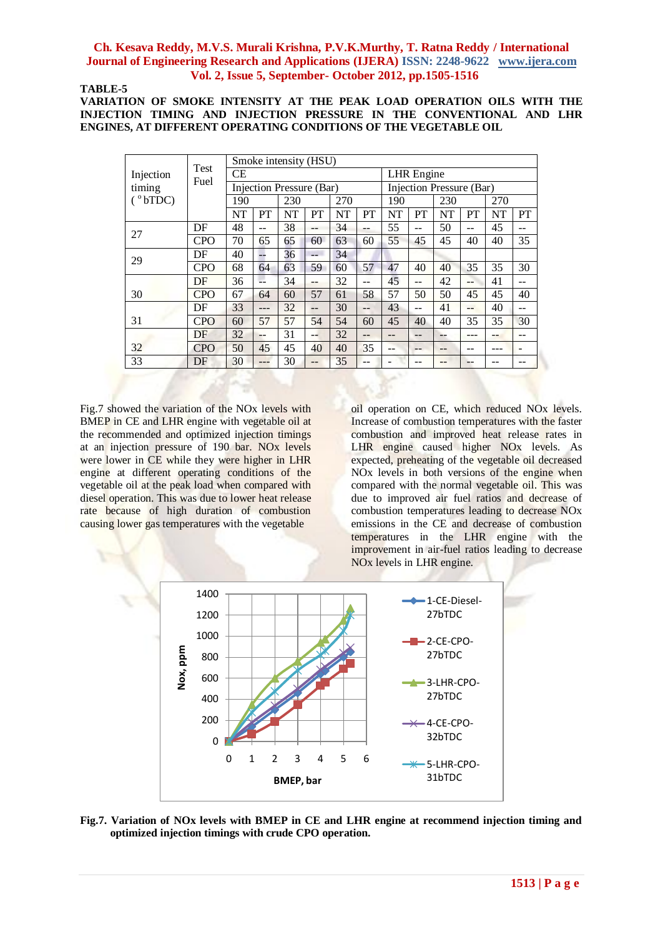### **TABLE-5**

**VARIATION OF SMOKE INTENSITY AT THE PEAK LOAD OPERATION OILS WITH THE INJECTION TIMING AND INJECTION PRESSURE IN THE CONVENTIONAL AND LHR ENGINES, AT DIFFERENT OPERATING CONDITIONS OF THE VEGETABLE OIL**

|                  | <b>Test</b> |     |       | Smoke intensity (HSU)    |     |           |       |            |                          |           |                |           |    |  |  |
|------------------|-------------|-----|-------|--------------------------|-----|-----------|-------|------------|--------------------------|-----------|----------------|-----------|----|--|--|
| Injection        | Fuel        | СE  |       |                          |     |           |       | LHR Engine |                          |           |                |           |    |  |  |
| timing           |             |     |       | Injection Pressure (Bar) |     |           |       |            | Injection Pressure (Bar) |           |                |           |    |  |  |
| $(^{\circ}bTDC)$ |             | 190 |       | 230                      |     | 270       |       | 190        |                          | 230       |                | 270       |    |  |  |
|                  |             | NT  | PT    | NT                       | PT  | <b>NT</b> | PT    | NT         | PT                       | <b>NT</b> | <b>PT</b>      | <b>NT</b> | PT |  |  |
| 27               | DF          | 48  | $- -$ | 38                       | $-$ | 34        | --    | 55         | --                       | 50        | $-$            | 45        |    |  |  |
|                  | <b>CPO</b>  | 70  | 65    | 65                       | 60  | 63        | 60    | 55         | 45                       | 45        | 40             | 40        | 35 |  |  |
| 29               | DF          | 40  |       | 36                       | --  | 34        |       |            |                          |           |                |           |    |  |  |
|                  | <b>CPO</b>  | 68  | 64    | 63                       | 59  | 60        | 57    | 47         | 40                       | 40        | 35             | 35        | 30 |  |  |
|                  | DF          | 36  |       | 34                       | --  | 32        | --    | 45         | --                       | 42        | --             | 41        |    |  |  |
| 30               | <b>CPO</b>  | 67  | 64    | 60                       | 57  | 61        | 58    | 57         | 50                       | 50        | 45             | 45        | 40 |  |  |
|                  | DF          | 33  | ---   | 32                       | --  | 30        | $- -$ | 43         | --                       | 41        | $\overline{a}$ | 40        | -- |  |  |
| 31               | <b>CPO</b>  | 60  | 57    | 57                       | 54  | 54        | 60    | 45         | 40                       | 40        | 35             | 35        | 30 |  |  |
|                  | DF          | 32  | --    | 31                       | --  | 32        | $- -$ | --         | --                       | $-1$      |                | --        | -- |  |  |
| 32               | <b>CPO</b>  | 50  | 45    | 45                       | 40  | 40        | 35    | --         | --                       | $-1$      |                | ---       |    |  |  |
| 33               | DF          | 30  |       | 30                       | --  | 35        | --    |            |                          |           |                |           |    |  |  |

Fig.7 showed the variation of the NOx levels with BMEP in CE and LHR engine with vegetable oil at the recommended and optimized injection timings at an injection pressure of 190 bar. NOx levels were lower in CE while they were higher in LHR engine at different operating conditions of the vegetable oil at the peak load when compared with diesel operation. This was due to lower heat release rate because of high duration of combustion causing lower gas temperatures with the vegetable

oil operation on CE, which reduced NOx levels. Increase of combustion temperatures with the faster combustion and improved heat release rates in LHR engine caused higher NOx levels. As expected, preheating of the vegetable oil decreased NOx levels in both versions of the engine when compared with the normal vegetable oil. This was due to improved air fuel ratios and decrease of combustion temperatures leading to decrease NOx emissions in the CE and decrease of combustion temperatures in the LHR engine with the improvement in air-fuel ratios leading to decrease NOx levels in LHR engine.



**Fig.7. Variation of NOx levels with BMEP in CE and LHR engine at recommend injection timing and optimized injection timings with crude CPO operation.**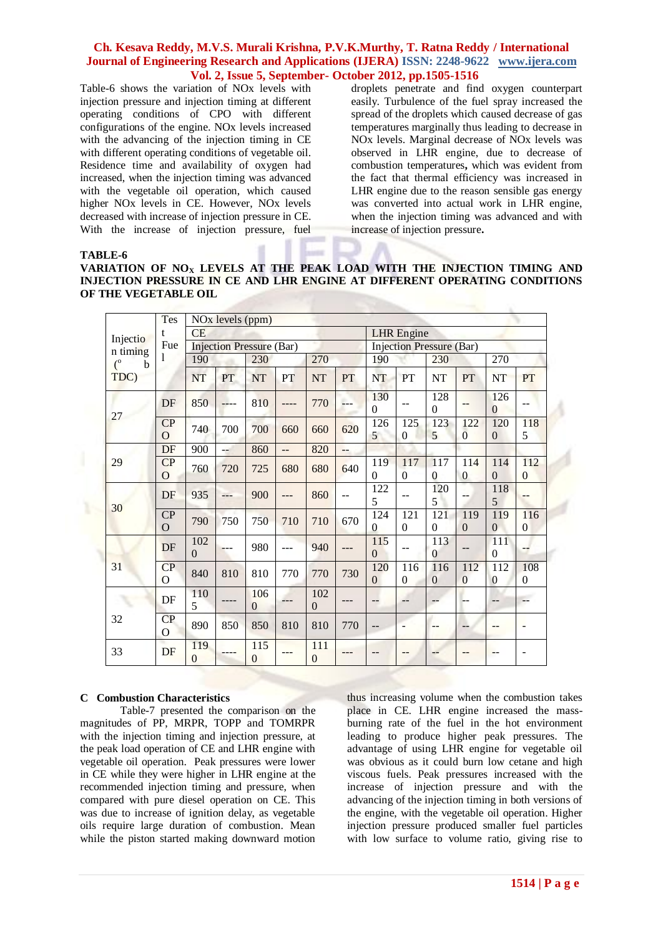Table-6 shows the variation of NOx levels with injection pressure and injection timing at different operating conditions of CPO with different configurations of the engine. NOx levels increased with the advancing of the injection timing in CE with different operating conditions of vegetable oil. Residence time and availability of oxygen had increased, when the injection timing was advanced with the vegetable oil operation, which caused higher NOx levels in CE. However, NOx levels decreased with increase of injection pressure in CE. With the increase of injection pressure, fuel

droplets penetrate and find oxygen counterpart easily. Turbulence of the fuel spray increased the spread of the droplets which caused decrease of gas temperatures marginally thus leading to decrease in NOx levels. Marginal decrease of NOx levels was observed in LHR engine, due to decrease of combustion temperatures**,** which was evident from the fact that thermal efficiency was increased in LHR engine due to the reason sensible gas energy was converted into actual work in LHR engine, when the injection timing was advanced and with increase of injection pressure**.** 

#### **TABLE-6**

**VARIATION OF NO<sup>X</sup> LEVELS AT THE PEAK LOAD WITH THE INJECTION TIMING AND INJECTION PRESSURE IN CE AND LHR ENGINE AT DIFFERENT OPERATING CONDITIONS OF THE VEGETABLE OIL**

|                                                               | Tes                               |                 | NO <sub>x</sub> levels (ppm) |                                 |     |                 |                          |                                 |                          |                       |                       |                       |                       |  |  |  |
|---------------------------------------------------------------|-----------------------------------|-----------------|------------------------------|---------------------------------|-----|-----------------|--------------------------|---------------------------------|--------------------------|-----------------------|-----------------------|-----------------------|-----------------------|--|--|--|
| Injectio<br>n timing<br>$\binom{0}{0}$<br>$\mathbf b$<br>TDC) | t                                 | CE              |                              |                                 |     |                 |                          | <b>LHR</b> Engine               |                          |                       |                       |                       |                       |  |  |  |
|                                                               | Fue                               |                 |                              | <b>Injection Pressure (Bar)</b> |     |                 |                          | <b>Injection Pressure (Bar)</b> |                          |                       |                       |                       |                       |  |  |  |
|                                                               |                                   | 190             |                              | 230                             |     | 270             |                          | 190                             |                          | 230                   |                       | 270                   |                       |  |  |  |
|                                                               |                                   | <b>NT</b>       | PT                           | <b>NT</b>                       | PT  | <b>NT</b>       | PT                       | NT                              | PT                       | <b>NT</b>             | <b>PT</b>             | <b>NT</b>             | <b>PT</b>             |  |  |  |
| 27                                                            | DF                                | 850             |                              | 810                             |     | 770             |                          | 130<br>$\Omega$                 | --                       | 128<br>$\Omega$       | --                    | 126<br>$\Omega$       | --                    |  |  |  |
|                                                               | CP<br>$\overline{O}$              | 740             | 700                          | 700                             | 660 | 660             | 620                      | 126<br>5                        | 125<br>$\overline{0}$    | 123<br>5              | 122<br>$\overline{0}$ | 120<br>$\overline{0}$ | 118<br>5              |  |  |  |
| 29                                                            | DF                                | 900             | $\sim$ $\sim$                | 860                             | $-$ | 820             | $\overline{\phantom{a}}$ |                                 |                          |                       |                       |                       |                       |  |  |  |
|                                                               | $\overline{CP}$<br>$\overline{O}$ | 760             | 720                          | 725                             | 680 | 680             | 640                      | 119<br>$\Omega$                 | 117<br>$\mathbf{0}$      | 117<br>$\theta$       | 114<br>$\overline{0}$ | 114<br>$\mathbf{0}$   | 112<br>$\mathbf{0}$   |  |  |  |
|                                                               | DF                                | 935             | ---                          | 900                             | --- | 860             | --                       | 122<br>5                        | --                       | 120<br>5              | --                    | 118<br>5              | --                    |  |  |  |
| 30                                                            | CP<br>$\mathbf{O}$                | 790             | 750                          | 750                             | 710 | 710             | 670                      | 124<br>$\overline{0}$           | 121<br>$\mathbf{0}$      | 121<br>$\theta$       | 119<br>$\mathbf{0}$   | 119<br>$\mathbf{0}$   | 116<br>$\overline{0}$ |  |  |  |
|                                                               | DF                                | 102<br>$\theta$ |                              | 980                             | --- | 940             | ---                      | 115<br>$\overline{0}$           | --                       | 113<br>$\theta$       | --                    | 111<br>$\overline{0}$ | --                    |  |  |  |
| 31                                                            | CP<br>$\overline{O}$              | 840             | 810                          | 810                             | 770 | 770             | 730                      | 120<br>$\overline{0}$           | 116<br>$\overline{0}$    | 116<br>$\overline{0}$ | 112<br>$\overline{0}$ | 112<br>$\overline{0}$ | 108<br>$\mathbf{0}$   |  |  |  |
|                                                               | DF                                | 110<br>5        |                              | 106<br>$\theta$                 |     | 102<br>$\theta$ |                          | --                              | --                       |                       |                       | --                    | --                    |  |  |  |
| 32                                                            | CP<br>O                           | 890             | 850                          | 850                             | 810 | 810             | 770                      | --                              | $\overline{\phantom{a}}$ | --                    | $-$                   | $- -$                 | $\qquad \qquad -$     |  |  |  |
| 33                                                            | DF                                | 119<br>0        |                              | 115<br>$\overline{0}$           |     | 111<br>$\theta$ |                          |                                 |                          |                       |                       |                       |                       |  |  |  |

#### **C Combustion Characteristics**

Table-7 presented the comparison on the magnitudes of PP, MRPR, TOPP and TOMRPR with the injection timing and injection pressure, at the peak load operation of CE and LHR engine with vegetable oil operation. Peak pressures were lower in CE while they were higher in LHR engine at the recommended injection timing and pressure, when compared with pure diesel operation on CE. This was due to increase of ignition delay, as vegetable oils require large duration of combustion. Mean while the piston started making downward motion thus increasing volume when the combustion takes place in CE. LHR engine increased the massburning rate of the fuel in the hot environment leading to produce higher peak pressures. The advantage of using LHR engine for vegetable oil was obvious as it could burn low cetane and high viscous fuels. Peak pressures increased with the increase of injection pressure and with the advancing of the injection timing in both versions of the engine, with the vegetable oil operation. Higher injection pressure produced smaller fuel particles with low surface to volume ratio, giving rise to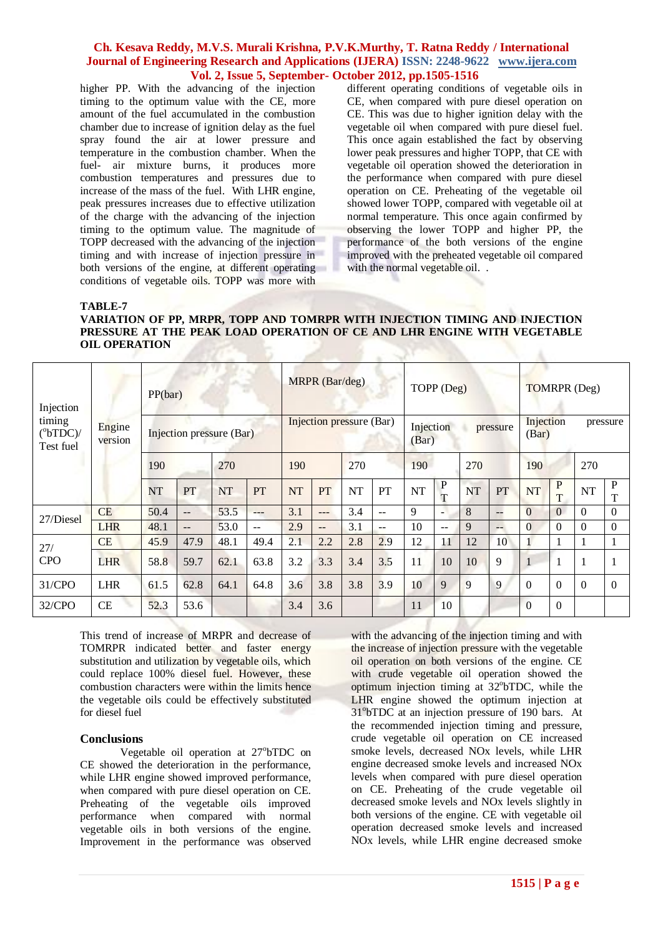higher PP. With the advancing of the injection timing to the optimum value with the CE, more amount of the fuel accumulated in the combustion chamber due to increase of ignition delay as the fuel spray found the air at lower pressure and temperature in the combustion chamber. When the fuel- air mixture burns, it produces more combustion temperatures and pressures due to increase of the mass of the fuel. With LHR engine, peak pressures increases due to effective utilization of the charge with the advancing of the injection timing to the optimum value. The magnitude of TOPP decreased with the advancing of the injection timing and with increase of injection pressure in both versions of the engine, at different operating conditions of vegetable oils. TOPP was more with

different operating conditions of vegetable oils in CE, when compared with pure diesel operation on CE. This was due to higher ignition delay with the vegetable oil when compared with pure diesel fuel. This once again established the fact by observing lower peak pressures and higher TOPP, that CE with vegetable oil operation showed the deterioration in the performance when compared with pure diesel operation on CE. Preheating of the vegetable oil showed lower TOPP, compared with vegetable oil at normal temperature. This once again confirmed by observing the lower TOPP and higher PP, the performance of the both versions of the engine improved with the preheated vegetable oil compared with the normal vegetable oil. .

**TABLE-7**

## **VARIATION OF PP, MRPR, TOPP AND TOMRPR WITH INJECTION TIMING AND INJECTION PRESSURE AT THE PEAK LOAD OPERATION OF CE AND LHR ENGINE WITH VEGETABLE OIL OPERATION**

| Injection<br>timing<br>$(^{\circ}bTDC)$ /<br>Test fuel | Engine<br>version | PP(bar)<br>Injection pressure (Bar) |      |           |       |           | MRPR (Bar/deg)           |           |       | TOPP (Deg) |                             |     |                          | TOMRPR (Deg)                   |                |           |          |
|--------------------------------------------------------|-------------------|-------------------------------------|------|-----------|-------|-----------|--------------------------|-----------|-------|------------|-----------------------------|-----|--------------------------|--------------------------------|----------------|-----------|----------|
|                                                        |                   |                                     |      |           |       |           | Injection pressure (Bar) |           |       |            | Injection<br>(Bar)          |     | pressure                 | Injection<br>pressure<br>(Bar) |                |           |          |
|                                                        |                   | 190                                 |      | 270       |       | 190       |                          | 270       |       | 190        |                             | 270 |                          | 190                            |                | 270       |          |
|                                                        |                   | NT                                  | PT   | <b>NT</b> | PT    | <b>NT</b> | PT                       | <b>NT</b> | PT    | <b>NT</b>  | $\mathbf P$<br>$\mathbf{T}$ | NT  | PT                       | NT                             | P<br>T         | <b>NT</b> | P<br>T   |
| 27/Diesel                                              | <b>CE</b>         | 50.4                                | $-$  | 53.5      | $---$ | 3.1       | $---$                    | 3.4       | $-1$  | 9          | $\overline{\phantom{a}}$    | 8   | $\qquad \qquad -$        | $\overline{0}$                 | $\overline{0}$ | $\Omega$  | $\Omega$ |
|                                                        | <b>LHR</b>        | 48.1                                | $-$  | 53.0      | $-$   | 2.9       | $\qquad \qquad -$        | 3.1       | $- -$ | 10         | $-$                         | 9   | $\overline{\phantom{a}}$ | $\Omega$                       | $\Omega$       | $\Omega$  | $\Omega$ |
| 27/                                                    | <b>CE</b>         | 45.9                                | 47.9 | 48.1      | 49.4  | 2.1       | 2.2                      | 2.8       | 2.9   | 12         | 11                          | 12  | 10                       |                                |                |           | 1        |
| <b>CPO</b>                                             | <b>LHR</b>        | 58.8                                | 59.7 | 62.1      | 63.8  | 3.2       | 3.3                      | 3.4       | 3.5   | 11         | 10                          | 10  | 9                        |                                |                |           | 1        |
| 31/CPO                                                 | <b>LHR</b>        | 61.5                                | 62.8 | 64.1      | 64.8  | 3.6       | 3.8                      | 3.8       | 3.9   | 10         | 9                           | 9   | 9                        | $\Omega$                       | $\Omega$       | $\Omega$  | $\Omega$ |
| 32/CPO                                                 | CE                | 52.3                                | 53.6 |           |       | 3.4       | 3.6                      |           |       | 11         | 10                          |     |                          | $\overline{0}$                 | $\overline{0}$ |           |          |

This trend of increase of MRPR and decrease of TOMRPR indicated better and faster energy substitution and utilization by vegetable oils, which could replace 100% diesel fuel. However, these combustion characters were within the limits hence the vegetable oils could be effectively substituted for diesel fuel

#### **Conclusions**

Vegetable oil operation at 27°bTDC on CE showed the deterioration in the performance, while LHR engine showed improved performance, when compared with pure diesel operation on CE. Preheating of the vegetable oils improved performance when compared with normal vegetable oils in both versions of the engine. Improvement in the performance was observed with the advancing of the injection timing and with the increase of injection pressure with the vegetable oil operation on both versions of the engine. CE with crude vegetable oil operation showed the optimum injection timing at 32°bTDC, while the LHR engine showed the optimum injection at 31<sup>o</sup>bTDC at an injection pressure of 190 bars. At the recommended injection timing and pressure, crude vegetable oil operation on CE increased smoke levels, decreased NOx levels, while LHR engine decreased smoke levels and increased NOx levels when compared with pure diesel operation on CE. Preheating of the crude vegetable oil decreased smoke levels and NOx levels slightly in both versions of the engine. CE with vegetable oil operation decreased smoke levels and increased NOx levels, while LHR engine decreased smoke